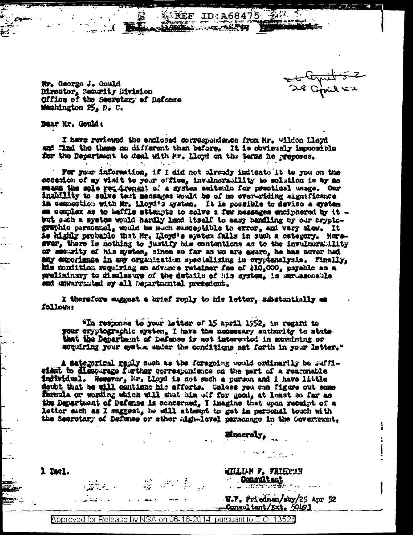Et ternit 5

Mr. George J. Gould Birector, Security Division Office of the Secretary of Defense Washington 25, D. C.

Dear Nr. Gould:

I have reviewed the enclosed correspondence from Hr. Wildon Lloyd and find the these no different than before. It is obviously impossible for the Department to deal with Mr. Lloyd on the terms he proposes.

 $18E$ F ID:A68475  $22.1$ 

**BALLAS ANTES** 

For your information, if I did not already indicate it to you on the ecoasion of my visit to your office, invaluerability to solution is by no ment the mie requirement of a system suitanin for practical usage. Our inability to solve test messages would be of no over-riding significance in commediion with Mr. Lloyd's system. It is possible to devise a system se complex as to baffle attempts to solve a few massages enciphered by it but such a system would hardly lond itself to easy handling by our cryptographic personnel, would be much susceptible to error, and very sion. It is highly probable that Mr. Lloyd's system falls in such a category. Moreever, there is nothing to justify his contentions as to the invulnerability or security of his mystem, since so far as we are myare, he has never had any experience in any organization specializing in cryptanalysis. Finally, his condition requiring an advance retainer fee of \$10,000, payable as a preliminary to disclesure of the details of his system, is unrussonable and unwarranted by all Departmental precedent.

I therefore suggest a brief reply to his letter, substantially as fallows:

"In response to your letter of 15 april 1952, in regard to your cryptographic system, I have the necessary authority to state that the Decartment of parense is not interested in examining or acquiring your system under the conditions set forth in your letter."

A eaternigal reply such as the foregoing would ordinarily be suffisient to discourage further correspondence on the part of a reaconable individual. Homevor, Mr. Lloyd is not such a porson and I have little doubt that be will continue his efforts. Unless you can figure out some fermula or wording which will shut him ulf for good, at least so far as the Department of Defense is concerned, I imagine that upon receipt of a letter such as I suggest, he will attempt to get in personal touch with the Secretary of Defunse or other high-level parachage in the Government.

**Sinceraly,** 

WILLIAM F. FRIEDMAN **Consultant** 

**CONTRACTOR** 

1 mel.

W.F. friedman/eby/25 Apr 52 Consultant/Ext, 60193

uli da k

 $\label{eq:4} \frac{d\mathbf{r}^{\mathbf{r}}}{d\mathbf{x}} = \frac{d\mathbf{r}^{\mathbf{r}}}{d\mathbf{x}} = \frac{d\mathbf{r}^{\mathbf{r}}}{d\mathbf{x}} = \frac{d\mathbf{r}}{d\mathbf{x}} = \frac{d\mathbf{r}}{d\mathbf{x}} = \frac{d\mathbf{r}}{d\mathbf{x}}$